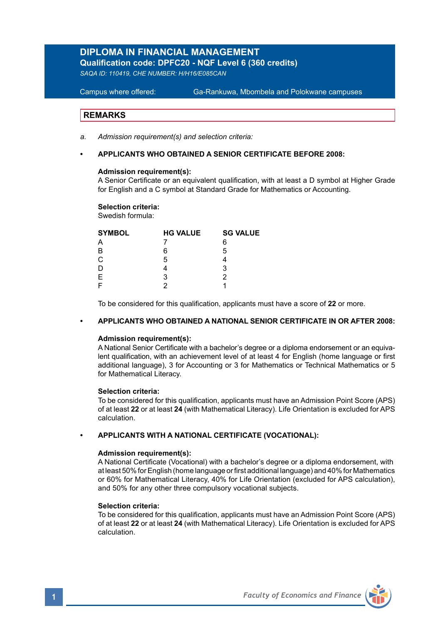# **DIPLOMA IN FINANCIAL MANAGEMENT**

**Qualification code: DPFC20 - NQF Level 6 (360 credits)** 

*SAQA ID: 110419, CHE NUMBER: H/H16/E085CAN* 

**Campus where offered:** Ga-Rankuwa, Mbombela and Polokwane campuses

## **REMARKS**

*a. Admission requirement(s) and selection criteria:* 

## **• APPLICANTS WHO OBTAINED A SENIOR CERTIFICATE BEFORE 2008:**

### **Admission requirement(s):**

A Senior Certificate or an equivalent qualification, with at least a D symbol at Higher Grade for English and a C symbol at Standard Grade for Mathematics or Accounting.

### **Selection criteria:**

Swedish formula:

| <b>HG VALUE</b> | <b>SG VALUE</b> |
|-----------------|-----------------|
|                 | 6               |
| 6               | 5               |
| 5               |                 |
|                 | 3               |
| з               |                 |
|                 |                 |
|                 |                 |

To be considered for this qualification, applicants must have a score of **22** or more.

## **• APPLICANTS WHO OBTAINED A NATIONAL SENIOR CERTIFICATE IN OR AFTER 2008:**

### **Admission requirement(s):**

A National Senior Certificate with a bachelor's degree or a diploma endorsement or an equivalent qualification, with an achievement level of at least 4 for English (home language or first additional language), 3 for Accounting or 3 for Mathematics or Technical Mathematics or 5 for Mathematical Literacy.

### **Selection criteria:**

To be considered for this qualification, applicants must have an Admission Point Score (APS) of at least **22** or at least **24** (with Mathematical Literacy). Life Orientation is excluded for APS calculation.

### **• APPLICANTS WITH A NATIONAL CERTIFICATE (VOCATIONAL):**

## **Admission requirement(s):**

A National Certificate (Vocational) with a bachelor's degree or a diploma endorsement, with at least 50% for English (home language or first additional language) and 40% for Mathematics or 60% for Mathematical Literacy, 40% for Life Orientation (excluded for APS calculation), and 50% for any other three compulsory vocational subjects.

### **Selection criteria:**

To be considered for this qualification, applicants must have an Admission Point Score (APS) of at least **22** or at least **24** (with Mathematical Literacy). Life Orientation is excluded for APS calculation.

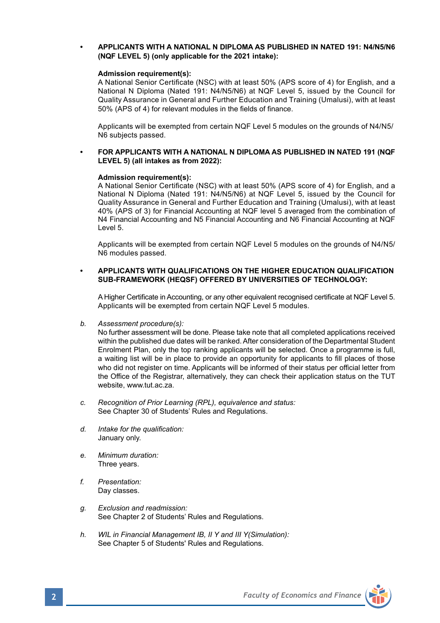## **• APPLICANTS WITH A NATIONAL N DIPLOMA AS PUBLISHED IN NATED 191: N4/N5/N6 (NQF LEVEL 5) (only applicable for the 2021 intake):**

### **Admission requirement(s):**

A National Senior Certificate (NSC) with at least 50% (APS score of 4) for English, and a National N Diploma (Nated 191: N4/N5/N6) at NQF Level 5, issued by the Council for Quality Assurance in General and Further Education and Training (Umalusi), with at least 50% (APS of 4) for relevant modules in the fields of finance.

Applicants will be exempted from certain NQF Level 5 modules on the grounds of N4/N5/ N6 subjects passed.

### **• FOR APPLICANTS WITH A NATIONAL N DIPLOMA AS PUBLISHED IN NATED 191 (NQF LEVEL 5) (all intakes as from 2022):**

### **Admission requirement(s):**

A National Senior Certificate (NSC) with at least 50% (APS score of 4) for English, and a National N Diploma (Nated 191: N4/N5/N6) at NQF Level 5, issued by the Council for Quality Assurance in General and Further Education and Training (Umalusi), with at least 40% (APS of 3) for Financial Accounting at NQF level 5 averaged from the combination of N4 Financial Accounting and N5 Financial Accounting and N6 Financial Accounting at NQF Level 5.

Applicants will be exempted from certain NQF Level 5 modules on the grounds of N4/N5/ N6 modules passed.

### **• APPLICANTS WITH QUALIFICATIONS ON THE HIGHER EDUCATION QUALIFICATION SUB-FRAMEWORK (HEQSF) OFFERED BY UNIVERSITIES OF TECHNOLOGY:**

A Higher Certificate in Accounting, or any other equivalent recognised certificate at NQF Level 5. Applicants will be exempted from certain NQF Level 5 modules.

*b. Assessment procedure(s):*

No further assessment will be done. Please take note that all completed applications received within the published due dates will be ranked. After consideration of the Departmental Student Enrolment Plan, only the top ranking applicants will be selected. Once a programme is full, a waiting list will be in place to provide an opportunity for applicants to fill places of those who did not register on time. Applicants will be informed of their status per official letter from the Office of the Registrar, alternatively, they can check their application status on the TUT website, www.tut.ac.za.

- *c. Recognition of Prior Learning (RPL), equivalence and status:* See Chapter 30 of Students' Rules and Regulations.
- *d. Intake for the qualification:* January only.
- *e. Minimum duration:* Three years.
- *f. Presentation:* Day classes.
- *g. Exclusion and readmission:* See Chapter 2 of Students' Rules and Regulations.
- *h. WIL in Financial Management IB, II Y and III Y(Simulation):* See Chapter 5 of Students' Rules and Regulations.

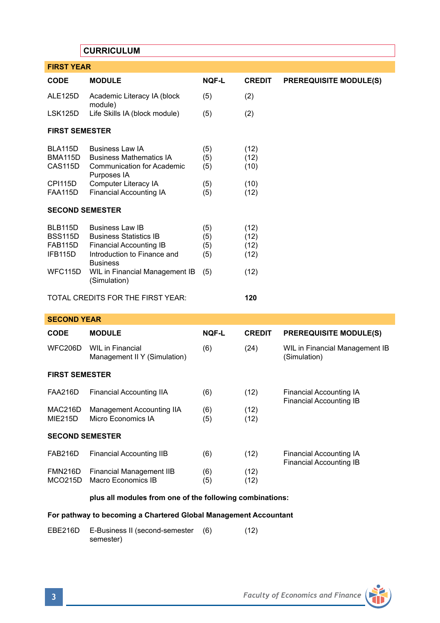## **CURRICULUM**

| <b>FIRST YEAR</b>      |                                                  |              |               |                               |
|------------------------|--------------------------------------------------|--------------|---------------|-------------------------------|
| <b>CODE</b>            | <b>MODULE</b>                                    | <b>NOF-L</b> | <b>CREDIT</b> | <b>PREREQUISITE MODULE(S)</b> |
| ALE125D                | Academic Literacy IA (block<br>module)           | (5)          | (2)           |                               |
| LSK125D                | Life Skills IA (block module)                    | (5)          | (2)           |                               |
| <b>FIRST SEMESTER</b>  |                                                  |              |               |                               |
| <b>BLA115D</b>         | <b>Business Law IA</b>                           | (5)          | (12)          |                               |
| <b>BMA115D</b>         | <b>Business Mathematics IA</b>                   | (5)          | (12)          |                               |
| CAS115D                | <b>Communication for Academic</b><br>Purposes IA | (5)          | (10)          |                               |
| <b>CPI115D</b>         | Computer Literacy IA                             | (5)          | (10)          |                               |
| <b>FAA115D</b>         | Financial Accounting IA                          | (5)          | (12)          |                               |
| <b>SECOND SEMESTER</b> |                                                  |              |               |                               |
| BLB115D                | <b>Business Law IB</b>                           | (5)          | (12)          |                               |
| <b>BSS115D</b>         | <b>Business Statistics IB</b>                    | (5)          | (12)          |                               |
| <b>FAB115D</b>         | Financial Accounting IB                          | (5)          | (12)          |                               |
| IFB115D                | Introduction to Finance and<br><b>Business</b>   | (5)          | (12)          |                               |
| WFC115D                | WIL in Financial Management IB<br>(Simulation)   | (5)          | (12)          |                               |
|                        | TOTAL CREDITS FOR THE FIRST YEAR:                |              | 120           |                               |

## **SECOND YEAR**

| <b>CODE</b>                      | <b>MODULE</b>                                    | <b>NOF-L</b> | <b>CREDIT</b> | <b>PREREQUISITE MODULE(S)</b>                      |
|----------------------------------|--------------------------------------------------|--------------|---------------|----------------------------------------------------|
| <b>WFC206D</b>                   | WIL in Financial<br>Management II Y (Simulation) | (6)          | (24)          | WIL in Financial Management IB<br>(Simulation)     |
| <b>FIRST SEMESTER</b>            |                                                  |              |               |                                                    |
| <b>FAA216D</b>                   | Financial Accounting IIA                         | (6)          | (12)          | Financial Accounting IA<br>Financial Accounting IB |
| MAC216D<br><b>MIE215D</b>        | Management Accounting IIA<br>Micro Economics IA  | (6)<br>(5)   | (12)<br>(12)  |                                                    |
| <b>SECOND SEMESTER</b>           |                                                  |              |               |                                                    |
| <b>FAB216D</b>                   | Financial Accounting IIB                         | (6)          | (12)          | Financial Accounting IA                            |
| <b>FMN216D</b><br><b>MCO215D</b> | Financial Management IIB<br>Macro Economics IB   | (6)<br>(5)   | (12)<br>(12)  | Financial Accounting IB                            |

## **plus all modules from one of the following combinations:**

## **For pathway to becoming a Chartered Global Management Accountant**

EBE216D E-Business II (second-semester (6) (12) semester)

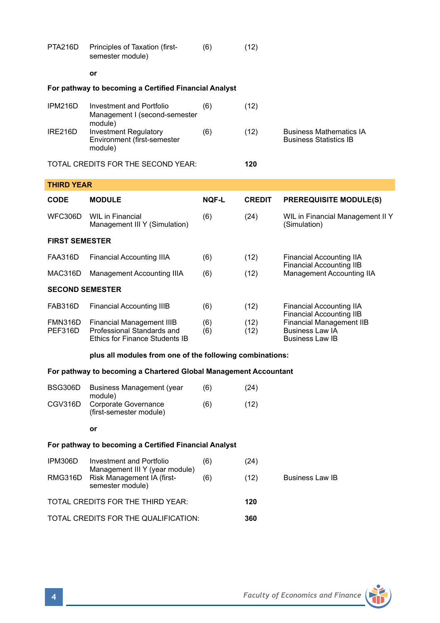| PTA216D                                               | Principles of Taxation (first-<br>semester module)                                        | (6)          | (12)          |                                                                                                                        |  |
|-------------------------------------------------------|-------------------------------------------------------------------------------------------|--------------|---------------|------------------------------------------------------------------------------------------------------------------------|--|
|                                                       | or                                                                                        |              |               |                                                                                                                        |  |
|                                                       | For pathway to becoming a Certified Financial Analyst                                     |              |               |                                                                                                                        |  |
| IPM216D                                               | Investment and Portfolio<br>Management I (second-semester<br>module)                      | (6)          | (12)          |                                                                                                                        |  |
| IRE216D                                               | Investment Regulatory<br>Environment (first-semester<br>module)                           | (6)          | (12)          | <b>Business Mathematics IA</b><br><b>Business Statistics IB</b>                                                        |  |
|                                                       | TOTAL CREDITS FOR THE SECOND YEAR:                                                        |              | 120           |                                                                                                                        |  |
| <b>THIRD YEAR</b>                                     |                                                                                           |              |               |                                                                                                                        |  |
| <b>CODE</b>                                           | <b>MODULE</b>                                                                             | <b>NOF-L</b> | <b>CREDIT</b> | <b>PREREQUISITE MODULE(S)</b>                                                                                          |  |
| WFC306D                                               | <b>WIL in Financial</b><br>Management III Y (Simulation)                                  | (6)          | (24)          | WIL in Financial Management II Y<br>(Simulation)                                                                       |  |
| <b>FIRST SEMESTER</b>                                 |                                                                                           |              |               |                                                                                                                        |  |
| FAA316D                                               | <b>Financial Accounting IIIA</b>                                                          | (6)          | (12)          | <b>Financial Accounting IIA</b>                                                                                        |  |
| MAC316D                                               | Management Accounting IIIA                                                                | (6)          | (12)          | <b>Financial Accounting IIB</b><br>Management Accounting IIA                                                           |  |
| <b>SECOND SEMESTER</b>                                |                                                                                           |              |               |                                                                                                                        |  |
| FAB316D                                               | <b>Financial Accounting IIIB</b>                                                          | (6)          | (12)          | <b>Financial Accounting IIA</b>                                                                                        |  |
| <b>FMN316D</b><br>PEF316D                             | Financial Management IIIB<br>Professional Standards and<br>Ethics for Finance Students IB | (6)<br>(6)   | (12)<br>(12)  | <b>Financial Accounting IIB</b><br><b>Financial Management IIB</b><br><b>Business Law IA</b><br><b>Business Law IB</b> |  |
|                                                       | plus all modules from one of the following combinations:                                  |              |               |                                                                                                                        |  |
|                                                       | For pathway to becoming a Chartered Global Management Accountant                          |              |               |                                                                                                                        |  |
| BSG306D                                               | <b>Business Management (year</b><br>module)                                               | (6)          | (24)          |                                                                                                                        |  |
| CGV316D                                               | Corporate Governance<br>(first-semester module)                                           | (6)          | (12)          |                                                                                                                        |  |
|                                                       | or                                                                                        |              |               |                                                                                                                        |  |
| For pathway to becoming a Certified Financial Analyst |                                                                                           |              |               |                                                                                                                        |  |
| IPM306D                                               | <b>Investment and Portfolio</b>                                                           | (6)          | (24)          |                                                                                                                        |  |
| RMG316D                                               | Management III Y (year module)<br>Risk Management IA (first-<br>semester module)          | (6)          | (12)          | <b>Business Law IB</b>                                                                                                 |  |
| TOTAL CREDITS FOR THE THIRD YEAR:                     |                                                                                           |              | 120           |                                                                                                                        |  |
| TOTAL CREDITS FOR THE QUALIFICATION:                  |                                                                                           |              | 360           |                                                                                                                        |  |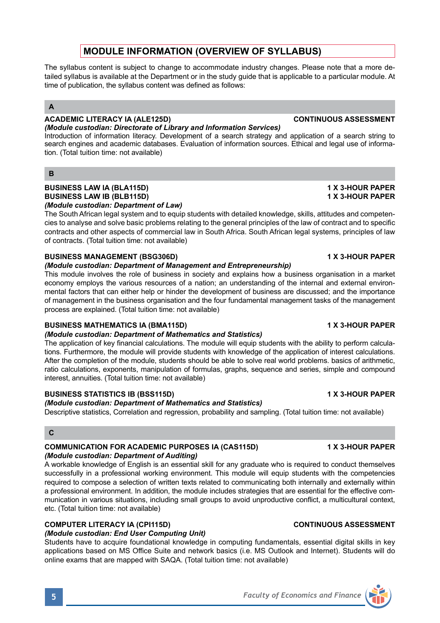## **MODULE INFORMATION (OVERVIEW OF SYLLABUS)**

The syllabus content is subject to change to accommodate industry changes. Please note that a more detailed syllabus is available at the Department or in the study guide that is applicable to a particular module. At time of publication, the syllabus content was defined as follows:

## **A**

## **ACADEMIC LITERACY IA (ALE125D) CONTINUOUS ASSESSMENT**

*(Module custodian: Directorate of Library and Information Services)*  Introduction of information literacy. Development of a search strategy and application of a search string to search engines and academic databases. Evaluation of information sources. Ethical and legal use of information. (Total tuition time: not available)

## **B**

### **BUSINESS LAW IA (BLA115D) 1 X 3-HOUR PAPER BUSINESS LAW IB (BLB115D)** *(Module custodian: Department of Law)*

The South African legal system and to equip students with detailed knowledge, skills, attitudes and competencies to analyse and solve basic problems relating to the general principles of the law of contract and to specific contracts and other aspects of commercial law in South Africa. South African legal systems, principles of law of contracts. (Total tuition time: not available)

## **BUSINESS MANAGEMENT (BSG306D) 1 X 3-HOUR PAPER**

## *(Module custodian: Department of Management and Entrepreneurship)*

This module involves the role of business in society and explains how a business organisation in a market economy employs the various resources of a nation; an understanding of the internal and external environmental factors that can either help or hinder the development of business are discussed; and the importance of management in the business organisation and the four fundamental management tasks of the management process are explained. (Total tuition time: not available)

## **BUSINESS MATHEMATICS IA (BMA115D)** 1 X 3-HOUR PAPER

## *(Module custodian: Department of Mathematics and Statistics)*

The application of key financial calculations. The module will equip students with the ability to perform calculations. Furthermore, the module will provide students with knowledge of the application of interest calculations. After the completion of the module, students should be able to solve real world problems. basics of arithmetic, ratio calculations, exponents, manipulation of formulas, graphs, sequence and series, simple and compound interest, annuities. (Total tuition time: not available)

## **BUSINESS STATISTICS IB (BSS115D) 1 X 3-HOUR PAPER**

*(Module custodian: Department of Mathematics and Statistics)*

Descriptive statistics, Correlation and regression, probability and sampling. (Total tuition time: not available)

## **C**

## **COMMUNICATION FOR ACADEMIC PURPOSES IA (CAS115D) 1 X 3-HOUR PAPER**

## *(Module custodian: Department of Auditing)*

A workable knowledge of English is an essential skill for any graduate who is required to conduct themselves successfully in a professional working environment. This module will equip students with the competencies required to compose a selection of written texts related to communicating both internally and externally within a professional environment. In addition, the module includes strategies that are essential for the effective communication in various situations, including small groups to avoid unproductive conflict, a multicultural context, etc. (Total tuition time: not available)

## **COMPUTER LITERACY IA (CPI115D) CONTINUOUS ASSESSMENT**

## *(Module custodian: End User Computing Unit)*

Students have to acquire foundational knowledge in computing fundamentals, essential digital skills in key applications based on MS Office Suite and network basics (i.e. MS Outlook and Internet). Students will do online exams that are mapped with SAQA. (Total tuition time: not available)

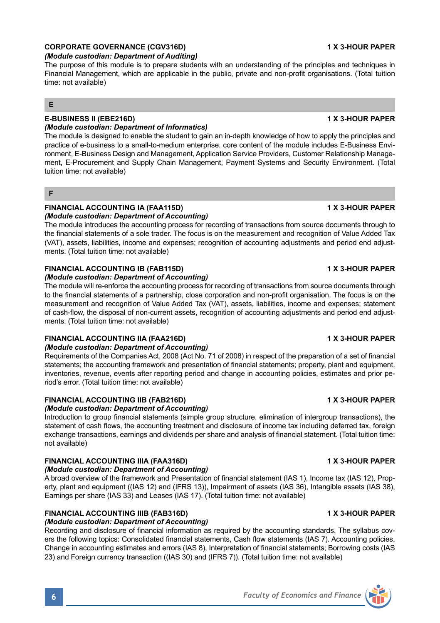## **CORPORATE GOVERNANCE (CGV316D) 1 X 3-HOUR PAPER**

## *(Module custodian: Department of Auditing)*

The purpose of this module is to prepare students with an understanding of the principles and techniques in Financial Management, which are applicable in the public, private and non-profit organisations. (Total tuition time: not available)

## **E**

## **E-BUSINESS II (EBE216D) 1 X 3-HOUR PAPER**

## *(Module custodian: Department of Informatics)*

The module is designed to enable the student to gain an in-depth knowledge of how to apply the principles and practice of e-business to a small-to-medium enterprise. core content of the module includes E-Business Environment, E-Business Design and Management, Application Service Providers, Customer Relationship Management, E-Procurement and Supply Chain Management, Payment Systems and Security Environment. (Total tuition time: not available)

### **F**

## **FINANCIAL ACCOUNTING IA (FAA115D) 1 X 3-HOUR PAPER** *(Module custodian: Department of Accounting)*

The module introduces the accounting process for recording of transactions from source documents through to the financial statements of a sole trader. The focus is on the measurement and recognition of Value Added Tax (VAT), assets, liabilities, income and expenses; recognition of accounting adjustments and period end adjustments. (Total tuition time: not available)

## **FINANCIAL ACCOUNTING IB (FAB115D) 1 X 3-HOUR PAPER**

## *(Module custodian: Department of Accounting)*

The module will re-enforce the accounting process for recording of transactions from source documents through to the financial statements of a partnership, close corporation and non-profit organisation. The focus is on the measurement and recognition of Value Added Tax (VAT), assets, liabilities, income and expenses; statement of cash-flow, the disposal of non-current assets, recognition of accounting adjustments and period end adjustments. (Total tuition time: not available)

## **FINANCIAL ACCOUNTING IIA (FAA216D) 1 X 3-HOUR PAPER**

## *(Module custodian: Department of Accounting)*

Requirements of the Companies Act, 2008 (Act No. 71 of 2008) in respect of the preparation of a set of financial statements; the accounting framework and presentation of financial statements; property, plant and equipment, inventories, revenue, events after reporting period and change in accounting policies, estimates and prior period's error. (Total tuition time: not available)

## **FINANCIAL ACCOUNTING IIB (FAB216D) 1 X 3-HOUR PAPER**

## *(Module custodian: Department of Accounting)*

Introduction to group financial statements (simple group structure, elimination of intergroup transactions), the statement of cash flows, the accounting treatment and disclosure of income tax including deferred tax, foreign exchange transactions, earnings and dividends per share and analysis of financial statement. (Total tuition time: not available)

## **FINANCIAL ACCOUNTING IIIA (FAA316D) 1 X 3-HOUR PAPER**

## *(Module custodian: Department of Accounting)*

A broad overview of the framework and Presentation of financial statement (IAS 1), Income tax (IAS 12), Property, plant and equipment ((IAS 12) and (IFRS 13)), Impairment of assets (IAS 36), Intangible assets (IAS 38), Earnings per share (IAS 33) and Leases (IAS 17). (Total tuition time: not available)

## **FINANCIAL ACCOUNTING IIIB (FAB316D) 1 X 3-HOUR PAPER**

## *(Module custodian: Department of Accounting)*

Recording and disclosure of financial information as required by the accounting standards. The syllabus covers the following topics: Consolidated financial statements, Cash flow statements (IAS 7). Accounting policies, Change in accounting estimates and errors (IAS 8), Interpretation of financial statements; Borrowing costs (IAS 23) and Foreign currency transaction ((IAS 30) and (IFRS 7)). (Total tuition time: not available)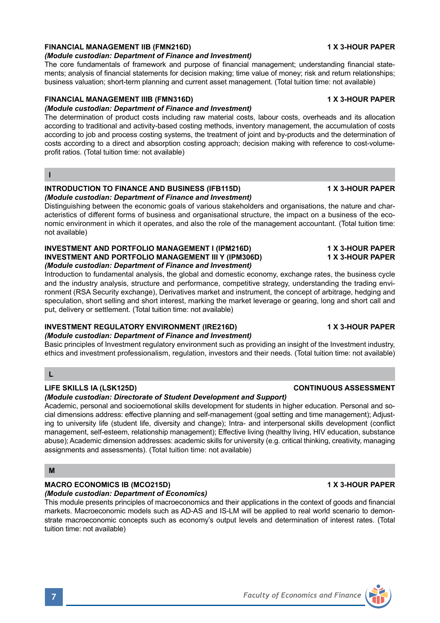## **FINANCIAL MANAGEMENT IIB (FMN216D) 1 X 3-HOUR PAPER**

*(Module custodian: Department of Finance and Investment)* The core fundamentals of framework and purpose of financial management; understanding financial statements; analysis of financial statements for decision making; time value of money; risk and return relationships;

business valuation; short-term planning and current asset management. (Total tuition time: not available)

## **FINANCIAL MANAGEMENT IIIB (FMN316D) 1 X 3-HOUR PAPER**

## *(Module custodian: Department of Finance and Investment)*

The determination of product costs including raw material costs, labour costs, overheads and its allocation according to traditional and activity-based costing methods, inventory management, the accumulation of costs according to job and process costing systems, the treatment of joint and by-products and the determination of costs according to a direct and absorption costing approach; decision making with reference to cost-volumeprofit ratios. (Total tuition time: not available)

**I**

### **INTRODUCTION TO FINANCE AND BUSINESS (IFB115D) 1 X 3-HOUR PAPER** *(Module custodian: Department of Finance and Investment)*

Distinguishing between the economic goals of various stakeholders and organisations, the nature and characteristics of different forms of business and organisational structure, the impact on a business of the economic environment in which it operates, and also the role of the management accountant. (Total tuition time: not available)

### **INVESTMENT AND PORTFOLIO MANAGEMENT I (IPM216D) 1 X 3-HOUR PAPER INVESTMENT AND PORTFOLIO MANAGEMENT III Y (IPM306D)** *(Module custodian: Department of Finance and Investment)*

Introduction to fundamental analysis, the global and domestic economy, exchange rates, the business cycle and the industry analysis, structure and performance, competitive strategy, understanding the trading environment (RSA Security exchange), Derivatives market and instrument, the concept of arbitrage, hedging and speculation, short selling and short interest, marking the market leverage or gearing, long and short call and put, delivery or settlement. (Total tuition time: not available)

## **INVESTMENT REGULATORY ENVIRONMENT (IRE216D) 1 X 3-HOUR PAPER**

## *(Module custodian: Department of Finance and Investment)*

Basic principles of Investment regulatory environment such as providing an insight of the Investment industry, ethics and investment professionalism, regulation, investors and their needs. (Total tuition time: not available)

## **L**

## **LIFE SKILLS IA (LSK125D) CONTINUOUS ASSESSMENT**

## *(Module custodian: Directorate of Student Development and Support)*

Academic, personal and socioemotional skills development for students in higher education. Personal and social dimensions address: effective planning and self-management (goal setting and time management); Adjusting to university life (student life, diversity and change); Intra- and interpersonal skills development (conflict management, self-esteem, relationship management); Effective living (healthy living, HIV education, substance abuse); Academic dimension addresses: academic skills for university (e.g. critical thinking, creativity, managing assignments and assessments). (Total tuition time: not available)

## **M**

## **MACRO ECONOMICS IB (MCO215D) 1 X 3-HOUR PAPER**

*(Module custodian: Department of Economics)*

This module presents principles of macroeconomics and their applications in the context of goods and financial markets. Macroeconomic models such as AD-AS and IS-LM will be applied to real world scenario to demonstrate macroeconomic concepts such as economy's output levels and determination of interest rates. (Total tuition time: not available)

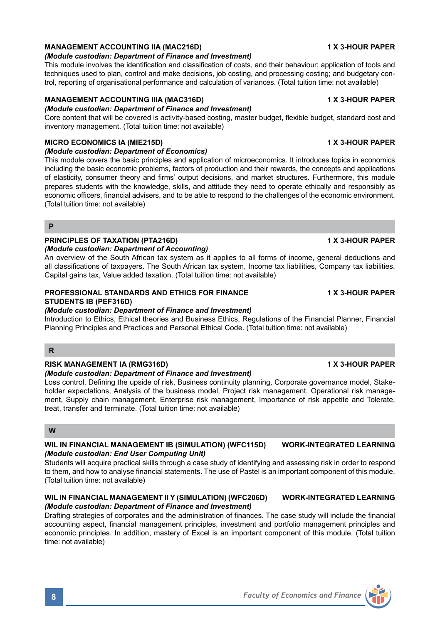## **MANAGEMENT ACCOUNTING IIA (MAC216D)** 1 X 3-HOUR PAPER

*(Module custodian: Department of Finance and Investment)*

This module involves the identification and classification of costs, and their behaviour; application of tools and techniques used to plan, control and make decisions, job costing, and processing costing; and budgetary control, reporting of organisational performance and calculation of variances. (Total tuition time: not available)

## **MANAGEMENT ACCOUNTING IIIA (MAC316D) 1 X 3-HOUR PAPER**

*(Module custodian: Department of Finance and Investment)*

Core content that will be covered is activity-based costing, master budget, flexible budget, standard cost and inventory management. (Total tuition time: not available)

## **MICRO ECONOMICS IA (MIE215D) 1 X 3-HOUR PAPER**

### *(Module custodian: Department of Economics)*

This module covers the basic principles and application of microeconomics. It introduces topics in economics including the basic economic problems, factors of production and their rewards, the concepts and applications of elasticity, consumer theory and firms' output decisions, and market structures. Furthermore, this module prepares students with the knowledge, skills, and attitude they need to operate ethically and responsibly as economic officers, financial advisers, and to be able to respond to the challenges of the economic environment. (Total tuition time: not available)

### **P**

## **PRINCIPLES OF TAXATION (PTA216D) 1 X 3-HOUR PAPER**

### *(Module custodian: Department of Accounting)*

An overview of the South African tax system as it applies to all forms of income, general deductions and all classifications of taxpayers. The South African tax system, Income tax liabilities, Company tax liabilities, Capital gains tax, Value added taxation. (Total tuition time: not available)

## **PROFESSIONAL STANDARDS AND ETHICS FOR FINANCE 1 X 3-HOUR PAPER STUDENTS IB (PEF316D)**

## *(Module custodian: Department of Finance and Investment)*

Introduction to Ethics, Ethical theories and Business Ethics, Regulations of the Financial Planner, Financial Planning Principles and Practices and Personal Ethical Code. (Total tuition time: not available)

## **R**

## **RISK MANAGEMENT IA (RMG316D) 1 X 3-HOUR PAPER**

### *(Module custodian: Department of Finance and Investment)*

Loss control, Defining the upside of risk, Business continuity planning, Corporate governance model, Stakeholder expectations, Analysis of the business model, Project risk management, Operational risk management, Supply chain management, Enterprise risk management, Importance of risk appetite and Tolerate, treat, transfer and terminate. (Total tuition time: not available)

## **W**

## **WIL IN FINANCIAL MANAGEMENT IB (SIMULATION) (WFC115D) WORK-INTEGRATED LEARNING** *(Module custodian: End User Computing Unit)*

Students will acquire practical skills through a case study of identifying and assessing risk in order to respond to them, and how to analyse financial statements. The use of Pastel is an important component of this module. (Total tuition time: not available)

### **WIL IN FINANCIAL MANAGEMENT II Y (SIMULATION) (WFC206D) WORK-INTEGRATED LEARNING** *(Module custodian: Department of Finance and Investment)*

Drafting strategies of corporates and the administration of finances. The case study will include the financial accounting aspect, financial management principles, investment and portfolio management principles and economic principles. In addition, mastery of Excel is an important component of this module. (Total tuition time: not available)